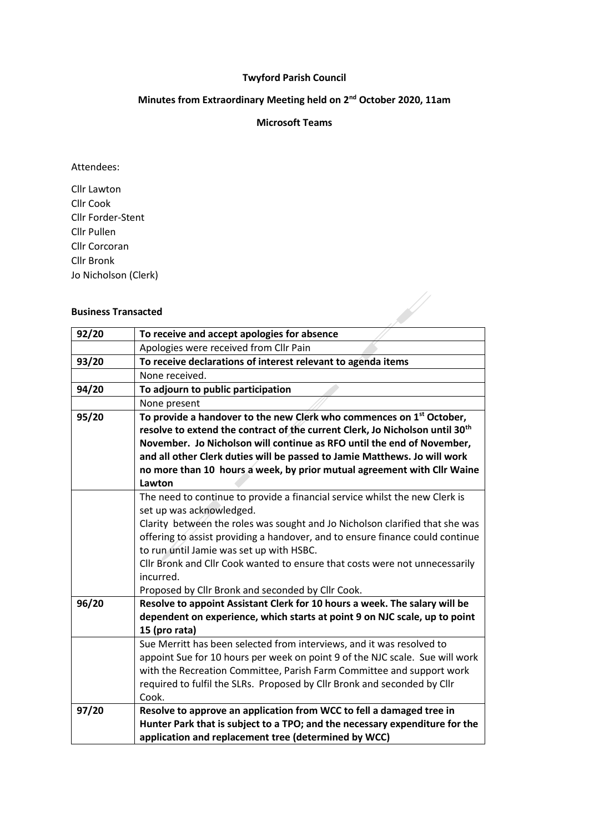## **Twyford Parish Council**

# **Minutes from Extraordinary Meeting held on 2nd October 2020, 11am**

#### **Microsoft Teams**

#### Attendees:

Cllr Lawton Cllr Cook Cllr Forder-Stent Cllr Pullen Cllr Corcoran Cllr Bronk Jo Nicholson (Clerk)

### **Business Transacted**

| <b>Business Transacted</b> |                                                                                                                                                                                                                                                                                                                                                                                                                                                                       |
|----------------------------|-----------------------------------------------------------------------------------------------------------------------------------------------------------------------------------------------------------------------------------------------------------------------------------------------------------------------------------------------------------------------------------------------------------------------------------------------------------------------|
| 92/20                      | To receive and accept apologies for absence                                                                                                                                                                                                                                                                                                                                                                                                                           |
|                            | Apologies were received from Cllr Pain                                                                                                                                                                                                                                                                                                                                                                                                                                |
| 93/20                      | To receive declarations of interest relevant to agenda items                                                                                                                                                                                                                                                                                                                                                                                                          |
|                            | None received.                                                                                                                                                                                                                                                                                                                                                                                                                                                        |
| 94/20                      | To adjourn to public participation                                                                                                                                                                                                                                                                                                                                                                                                                                    |
|                            | None present                                                                                                                                                                                                                                                                                                                                                                                                                                                          |
| 95/20                      | To provide a handover to the new Clerk who commences on 1 <sup>st</sup> October,<br>resolve to extend the contract of the current Clerk, Jo Nicholson until 30 <sup>th</sup><br>November. Jo Nicholson will continue as RFO until the end of November,<br>and all other Clerk duties will be passed to Jamie Matthews. Jo will work<br>no more than 10 hours a week, by prior mutual agreement with Cllr Waine<br>Lawton                                              |
|                            | The need to continue to provide a financial service whilst the new Clerk is<br>set up was acknowledged.<br>Clarity between the roles was sought and Jo Nicholson clarified that she was<br>offering to assist providing a handover, and to ensure finance could continue<br>to run until Jamie was set up with HSBC.<br>Cllr Bronk and Cllr Cook wanted to ensure that costs were not unnecessarily<br>incurred.<br>Proposed by Cllr Bronk and seconded by Cllr Cook. |
| 96/20                      | Resolve to appoint Assistant Clerk for 10 hours a week. The salary will be<br>dependent on experience, which starts at point 9 on NJC scale, up to point<br>15 (pro rata)                                                                                                                                                                                                                                                                                             |
|                            | Sue Merritt has been selected from interviews, and it was resolved to<br>appoint Sue for 10 hours per week on point 9 of the NJC scale. Sue will work<br>with the Recreation Committee, Parish Farm Committee and support work<br>required to fulfil the SLRs. Proposed by Cllr Bronk and seconded by Cllr<br>Cook.                                                                                                                                                   |
| 97/20                      | Resolve to approve an application from WCC to fell a damaged tree in<br>Hunter Park that is subject to a TPO; and the necessary expenditure for the<br>application and replacement tree (determined by WCC)                                                                                                                                                                                                                                                           |